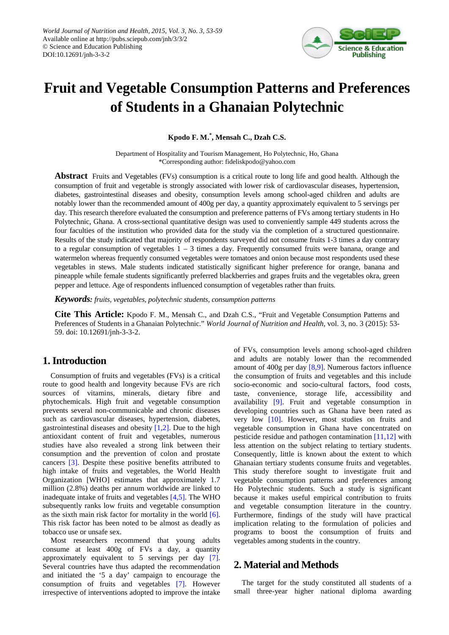

# **Fruit and Vegetable Consumption Patterns and Preferences of Students in a Ghanaian Polytechnic**

**Kpodo F. M. \* , Mensah C., Dzah C.S.**

Department of Hospitality and Tourism Management, Ho Polytechnic, Ho, Ghana \*Corresponding author: fideliskpodo@yahoo.com

**Abstract** Fruits and Vegetables (FVs) consumption is a critical route to long life and good health. Although the consumption of fruit and vegetable is strongly associated with lower risk of cardiovascular diseases, hypertension, diabetes, gastrointestinal diseases and obesity, consumption levels among school-aged children and adults are notably lower than the recommended amount of 400g per day, a quantity approximately equivalent to 5 servings per day. This research therefore evaluated the consumption and preference patterns of FVs among tertiary students in Ho Polytechnic, Ghana. A cross-sectional quantitative design was used to conveniently sample 449 students across the four faculties of the institution who provided data for the study via the completion of a structured questionnaire. Results of the study indicated that majority of respondents surveyed did not consume fruits 1-3 times a day contrary to a regular consumption of vegetables 1 – 3 times a day. Frequently consumed fruits were banana, orange and watermelon whereas frequently consumed vegetables were tomatoes and onion because most respondents used these vegetables in stews. Male students indicated statistically significant higher preference for orange, banana and pineapple while female students significantly preferred blackberries and grapes fruits and the vegetables okra, green pepper and lettuce. Age of respondents influenced consumption of vegetables rather than fruits.

*Keywords: fruits, vegetables, polytechnic students, consumption patterns*

**Cite This Article:** Kpodo F. M., Mensah C., and Dzah C.S., "Fruit and Vegetable Consumption Patterns and Preferences of Students in a Ghanaian Polytechnic." *World Journal of Nutrition and Health*, vol. 3, no. 3 (2015): 53- 59. doi: 10.12691/jnh-3-3-2.

# **1. Introduction**

Consumption of fruits and vegetables (FVs) is a critical route to good health and longevity because FVs are rich sources of vitamins, minerals, dietary fibre and phytochemicals. High fruit and vegetable consumption prevents several non-communicable and chronic diseases such as cardiovascular diseases, hypertension, diabetes, gastrointestinal diseases and obesity  $[1,2]$ . Due to the high antioxidant content of fruit and vegetables, numerous studies have also revealed a strong link between their consumption and the prevention of colon and prostate cancers [\[3\].](#page-5-1) Despite these positive benefits attributed to high intake of fruits and vegetables, the World Health Organization [WHO] estimates that approximately 1.7 million (2.8%) deaths per annum worldwide are linked to inadequate intake of fruits and vegetables [\[4,5\].](#page-5-2) The WHO subsequently ranks low fruits and vegetable consumption as the sixth main risk factor for mortality in the world [\[6\].](#page-5-3) This risk factor has been noted to be almost as deadly as tobacco use or unsafe sex.

Most researchers recommend that young adults consume at least 400g of FVs a day, a quantity approximately equivalent to 5 servings per day [\[7\].](#page-5-4) Several countries have thus adapted the recommendation and initiated the '5 a day' campaign to encourage the consumption of fruits and vegetables [\[7\].](#page-5-4) However irrespective of interventions adopted to improve the intake

of FVs, consumption levels among school-aged children and adults are notably lower than the recommended amount of 400g per day [\[8,9\].](#page-5-5) Numerous factors influence the consumption of fruits and vegetables and this include socio-economic and socio-cultural factors, food costs, taste, convenience, storage life, accessibility and availability [\[9\].](#page-5-6) Fruit and vegetable consumption in developing countries such as Ghana have been rated as very low [\[10\].](#page-5-7) However, most studies on fruits and vegetable consumption in Ghana have concentrated on pesticide residue and pathogen contamination [\[11,12\]](#page-5-8) with less attention on the subject relating to tertiary students. Consequently, little is known about the extent to which Ghanaian tertiary students consume fruits and vegetables. This study therefore sought to investigate fruit and vegetable consumption patterns and preferences among Ho Polytechnic students. Such a study is significant because it makes useful empirical contribution to fruits and vegetable consumption literature in the country. Furthermore, findings of the study will have practical implication relating to the formulation of policies and programs to boost the consumption of fruits and vegetables among students in the country.

# **2. Material and Methods**

The target for the study constituted all students of a small three-year higher national diploma awarding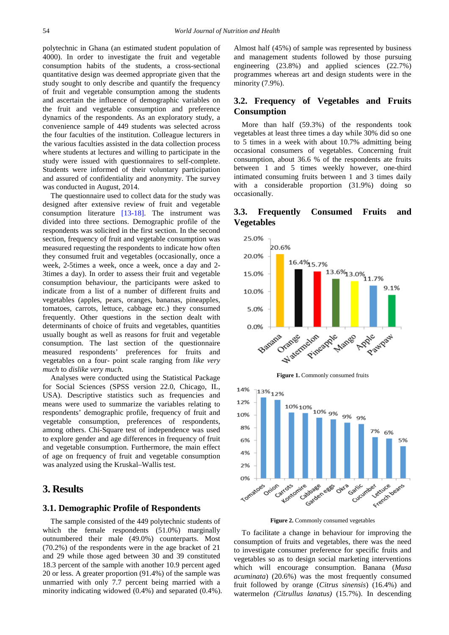polytechnic in Ghana (an estimated student population of 4000). In order to investigate the fruit and vegetable consumption habits of the students, a cross-sectional quantitative design was deemed appropriate given that the study sought to only describe and quantify the frequency of fruit and vegetable consumption among the students and ascertain the influence of demographic variables on the fruit and vegetable consumption and preference dynamics of the respondents. As an exploratory study, a convenience sample of 449 students was selected across the four faculties of the institution. Colleague lecturers in the various faculties assisted in the data collection process where students at lectures and willing to participate in the study were issued with questionnaires to self-complete. Students were informed of their voluntary participation and assured of confidentiality and anonymity. The survey was conducted in August, 2014.

The questionnaire used to collect data for the study was designed after extensive review of fruit and vegetable consumption literature [\[13-18\].](#page-5-9) The instrument was divided into three sections. Demographic profile of the respondents was solicited in the first section. In the second section, frequency of fruit and vegetable consumption was measured requesting the respondents to indicate how often they consumed fruit and vegetables (occasionally, once a week, 2-5times a week, once a week, once a day and 2- 3times a day). In order to assess their fruit and vegetable consumption behaviour, the participants were asked to indicate from a list of a number of different fruits and vegetables (apples, pears, oranges, bananas, pineapples, tomatoes, carrots, lettuce, cabbage etc.) they consumed frequently. Other questions in the section dealt with determinants of choice of fruits and vegetables, quantities usually bought as well as reasons for fruit and vegetable consumption. The last section of the questionnaire measured respondents' preferences for fruits and vegetables on a four- point scale ranging from *like very much* to *dislike very much*.

Analyses were conducted using the Statistical Package for Social Sciences (SPSS version 22.0, Chicago, IL, USA). Descriptive statistics such as frequencies and means were used to summarize the variables relating to respondents' demographic profile, frequency of fruit and vegetable consumption, preferences of respondents, among others. Chi-Square test of independence was used to explore gender and age differences in frequency of fruit and vegetable consumption. Furthermore, the main effect of age on frequency of fruit and vegetable consumption was analyzed using the Kruskal–Wallis test.

## **3. Results**

#### **3.1. Demographic Profile of Respondents**

The sample consisted of the 449 polytechnic students of which the female respondents (51.0%) marginally outnumbered their male (49.0%) counterparts. Most (70.2%) of the respondents were in the age bracket of 21 and 29 while those aged between 30 and 39 constituted 18.3 percent of the sample with another 10.9 percent aged 20 or less. A greater proportion (91.4%) of the sample was unmarried with only 7.7 percent being married with a minority indicating widowed (0.4%) and separated (0.4%). Almost half (45%) of sample was represented by business and management students followed by those pursuing engineering (23.8%) and applied sciences (22.7%) programmes whereas art and design students were in the minority (7.9%).

### **3.2. Frequency of Vegetables and Fruits Consumption**

More than half (59.3%) of the respondents took vegetables at least three times a day while 30% did so one to 5 times in a week with about 10.7% admitting being occasional consumers of vegetables. Concerning fruit consumption, about 36.6 % of the respondents ate fruits between 1 and 5 times weekly however, one-third intimated consuming fruits between 1 and 3 times daily with a considerable proportion (31.9%) doing so occasionally.

<span id="page-1-0"></span>

## **3.3. Frequently Consumed Fruits and Vegetables**

**Figure 2.** Commonly consumed vegetables

carden eggs

inte bases

Kontornire

on dress

Onion

Freeck bears

Jertuce

Gartic Cucumber

Oks<sup>3</sup>

<span id="page-1-1"></span>4%  $2%$ 0%

Tomatoes

To facilitate a change in behaviour for improving the consumption of fruits and vegetables, there was the need to investigate consumer preference for specific fruits and vegetables so as to design social marketing interventions which will encourage consumption. Banana (*Musa acuminata*) (20.6%) was the most frequently consumed fruit followed by orange (*Citrus sinensis*) (16.4%) and watermelon *(Citrullus lanatus)* (15.7%). In descending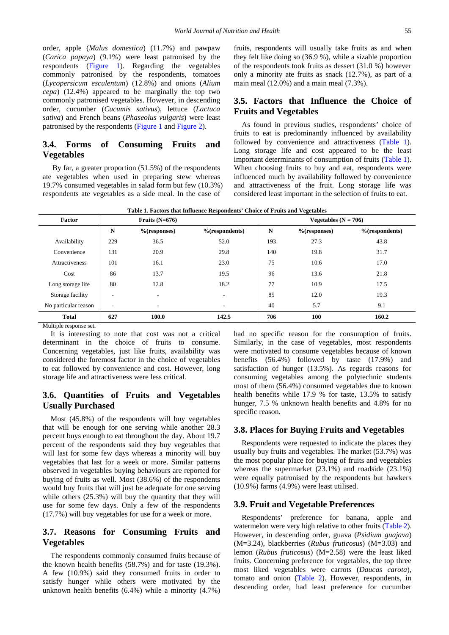order, apple (*Malus domestica*) (11.7%) and pawpaw (*Carica papaya*) (9.1%) were least patronised by the respondents [\(Figure 1\)](#page-1-0). Regarding the vegetables commonly patronised by the respondents, tomatoes (*Lycopersicum esculentum*) (12.8%) and onions (*Alium cepa*) (12.4%) appeared to be marginally the top two commonly patronised vegetables. However, in descending order, cucumber (*Cucumis sativus*), lettuce (*Lactuca sativa*) and French beans (*Phaseolus vulgaris*) were least patronised by the respondents [\(Figure 1](#page-1-0) an[d Figure 2\)](#page-1-1).

## **3.4. Forms of Consuming Fruits and Vegetables**

By far, a greater proportion (51.5%) of the respondents ate vegetables when used in preparing stew whereas 19.7% consumed vegetables in salad form but few (10.3%) respondents ate vegetables as a side meal. In the case of

fruits, respondents will usually take fruits as and when they felt like doing so (36.9 %), while a sizable proportion of the respondents took fruits as dessert (31.0 %) however only a minority ate fruits as snack (12.7%), as part of a main meal (12.0%) and a main meal (7.3%).

#### **3.5. Factors that Influence the Choice of Fruits and Vegetables**

As found in previous studies, respondents' choice of fruits to eat is predominantly influenced by availability followed by convenience and attractiveness [\(Table 1\)](#page-2-0). Long storage life and cost appeared to be the least important determinants of consumption of fruits [\(Table 1\)](#page-2-0). When choosing fruits to buy and eat, respondents were influenced much by availability followed by convenience and attractiveness of the fruit. Long storage life was considered least important in the selection of fruits to eat.

<span id="page-2-0"></span>

| Factor                | Fruits $(N=676)$         |                 |                          | Vegetables $(N = 706)$ |                 |                   |  |
|-----------------------|--------------------------|-----------------|--------------------------|------------------------|-----------------|-------------------|--|
|                       | N                        | $%$ (responses) | $%$ (respondents)        | N                      | $%$ (responses) | $%$ (respondents) |  |
| Availability          | 229                      | 36.5            | 52.0                     | 193                    | 27.3            | 43.8              |  |
| Convenience           | 131                      | 20.9            | 29.8                     | 140                    | 19.8            | 31.7              |  |
| <b>Attractiveness</b> | 101                      | 16.1            | 23.0                     | 75                     | 10.6            | 17.0              |  |
| Cost                  | 86                       | 13.7            | 19.5                     | 96                     | 13.6            | 21.8              |  |
| Long storage life     | 80                       | 12.8            | 18.2                     | 77                     | 10.9            | 17.5              |  |
| Storage facility      | ۰                        | ۰               | ٠                        | 85                     | 12.0            | 19.3              |  |
| No particular reason  | $\overline{\phantom{a}}$ | ٠.              | $\overline{\phantom{a}}$ | 40                     | 5.7             | 9.1               |  |
| <b>Total</b>          | 627                      | 100.0           | 142.5                    | 706                    | 100             | 160.2             |  |

**Table 1. Factors that Influence Respondents' Choice of Fruits and Vegetables**

Multiple response set.

It is interesting to note that cost was not a critical determinant in the choice of fruits to consume. Concerning vegetables, just like fruits, availability was considered the foremost factor in the choice of vegetables to eat followed by convenience and cost. However, long storage life and attractiveness were less critical.

## **3.6. Quantities of Fruits and Vegetables Usually Purchased**

Most (45.8%) of the respondents will buy vegetables that will be enough for one serving while another 28.3 percent buys enough to eat throughout the day. About 19.7 percent of the respondents said they buy vegetables that will last for some few days whereas a minority will buy vegetables that last for a week or more. Similar patterns observed in vegetables buying behaviours are reported for buying of fruits as well. Most (38.6%) of the respondents would buy fruits that will just be adequate for one serving while others  $(25.3\%)$  will buy the quantity that they will use for some few days. Only a few of the respondents (17.7%) will buy vegetables for use for a week or more.

## **3.7. Reasons for Consuming Fruits and Vegetables**

The respondents commonly consumed fruits because of the known health benefits (58.7%) and for taste (19.3%). A few (10.9%) said they consumed fruits in order to satisfy hunger while others were motivated by the unknown health benefits (6.4%) while a minority (4.7%) had no specific reason for the consumption of fruits. Similarly, in the case of vegetables, most respondents were motivated to consume vegetables because of known benefits (56.4%) followed by taste (17.9%) and satisfaction of hunger (13.5%). As regards reasons for consuming vegetables among the polytechnic students most of them (56.4%) consumed vegetables due to known health benefits while 17.9 % for taste, 13.5% to satisfy hunger, 7.5 % unknown health benefits and 4.8% for no specific reason.

## **3.8. Places for Buying Fruits and Vegetables**

Respondents were requested to indicate the places they usually buy fruits and vegetables. The market (53.7%) was the most popular place for buying of fruits and vegetables whereas the supermarket (23.1%) and roadside (23.1%) were equally patronised by the respondents but hawkers (10.9%) farms (4.9%) were least utilised.

#### **3.9. Fruit and Vegetable Preferences**

Respondents' preference for banana, apple and watermelon were very high relative to other fruits [\(Table 2\)](#page-3-0). However, in descending order, guava (*Psidium guajava*) (M=3.24), blackberries (*Rubus fruticosus*) (M=3.03) and lemon (*Rubus fruticosus*) (M=2.58) were the least liked fruits. Concerning preference for vegetables, the top three most liked vegetables were carrots (*Daucas carota*), tomato and onion [\(Table 2\)](#page-3-0). However, respondents, in descending order, had least preference for cucumber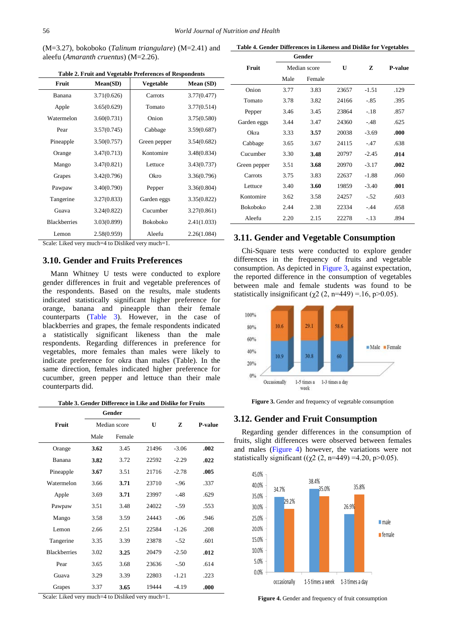(M=3.27), bokoboko (*Talinum triangulare*) (M=2.41) and aleefu (*Amaranth cruentus*) (M=2.26).

<span id="page-3-0"></span>

| Fruit               | Mean(SD)    | Vegetable       | Mean (SD)   |  |
|---------------------|-------------|-----------------|-------------|--|
| Banana              | 3.71(0.626) | Carrots         | 3.77(0.477) |  |
| Apple               | 3.65(0.629) | Tomato          | 3.77(0.514) |  |
| Watermelon          | 3.60(0.731) | Onion           | 3.75(0.580) |  |
| Pear                | 3.57(0.745) | Cabbage         | 3.59(0.687) |  |
| Pineapple           | 3.50(0.757) | Green pepper    | 3.54(0.682) |  |
| Orange              | 3.47(0.713) | Kontomire       | 3.48(0.834) |  |
| Mango               | 3.47(0.821) | Lettuce         | 3.43(0.737) |  |
| Grapes              | 3.42(0.796) | Okro            | 3.36(0.796) |  |
| Pawpaw              | 3.40(0.790) | Pepper          | 3.36(0.804) |  |
| Tangerine           | 3.27(0.833) | Garden eggs     | 3.35(0.822) |  |
| Guava               | 3.24(0.822) | Cucumber        | 3.27(0.861) |  |
| <b>Blackberries</b> | 3.03(0.899) | <b>Bokoboko</b> | 2.41(1.033) |  |
| Lemon               | 2.58(0.959) | Aleefu          | 2.26(1.084) |  |

**Table 2. Fruit and Vegetable Preferences of Respondents**

Scale: Liked very much=4 to Disliked very much=1.

#### **3.10. Gender and Fruits Preferences**

Mann Whitney U tests were conducted to explore gender differences in fruit and vegetable preferences of the respondents. Based on the results, male students indicated statistically significant higher preference for orange, banana and pineapple than their female counterparts [\(Table 3\)](#page-3-1). However, in the case of blackberries and grapes, the female respondents indicated a statistically significant likeness than the male respondents. Regarding differences in preference for vegetables, more females than males were likely to indicate preference for okra than males (Table). In the same direction, females indicated higher preference for cucumber, green pepper and lettuce than their male counterparts did.

**Table 3. Gender Difference in Like and Dislike for Fruits**

<span id="page-3-1"></span>

|                     | Gender<br>Median score |        |              |         |         |
|---------------------|------------------------|--------|--------------|---------|---------|
| Fruit               |                        |        | $\mathbf{U}$ | Z       | P-value |
|                     | Male                   | Female |              |         |         |
| Orange              | 3.62                   | 3.45   | 21496        | $-3.06$ | .002    |
| Banana              | 3.82                   | 3.72   | 22592        | $-2.29$ | .022    |
| Pineapple           | 3.67                   | 3.51   | 21716        | $-2.78$ | .005    |
| Watermelon          | 3.66                   | 3.71   | 23710        | $-96$   | .337    |
| Apple               | 3.69                   | 3.71   | 23997        | $-.48$  | .629    |
| Pawpaw              | 3.51                   | 3.48   | 24022        | $-.59$  | .553    |
| Mango               | 3.58                   | 3.59   | 24443        | $-.06$  | .946    |
| Lemon               | 2.66                   | 2.51   | 22584        | $-1.26$ | .208    |
| Tangerine           | 3.35                   | 3.39   | 23878        | $-.52$  | .601    |
| <b>Blackberries</b> | 3.02                   | 3.25   | 20479        | $-2.50$ | .012    |
| Pear                | 3.65                   | 3.68   | 23636        | $-.50$  | .614    |
| Guava               | 3.29                   | 3.39   | 22803        | $-1.21$ | .223    |
| Grapes              | 3.37                   | 3.65   | 19444        | $-4.19$ | .000    |

Scale: Liked very much=4 to Disliked very much=1.

|  | Table 4. Gender Differences in Likeness and Dislike for Vegetables |  |  |  |
|--|--------------------------------------------------------------------|--|--|--|
|  |                                                                    |  |  |  |

|                 | Gender       |        |       |         |         |
|-----------------|--------------|--------|-------|---------|---------|
| Fruit           | Median score |        | U     | z       | P-value |
|                 | Male         | Female |       |         |         |
| Onion           | 3.77         | 3.83   | 23657 | $-1.51$ | .129    |
| Tomato          | 3.78         | 3.82   | 24166 | -.85    | .395    |
| Pepper          | 3.46         | 3.45   | 23864 | $-.18$  | .857    |
| Garden eggs     | 3.44         | 3.47   | 24360 | $-.48$  | .625    |
| Okra            | 3.33         | 3.57   | 20038 | $-3.69$ | .000    |
| Cabbage         | 3.65         | 3.67   | 24115 | $-47$   | .638    |
| Cucumber        | 3.30         | 3.48   | 20797 | $-2.45$ | .014    |
| Green pepper    | 3.51         | 3.68   | 20970 | $-3.17$ | .002    |
| Carrots         | 3.75         | 3.83   | 22637 | $-1.88$ | .060    |
| Lettuce         | 3.40         | 3.60   | 19859 | $-3.40$ | .001    |
| Kontomire       | 3.62         | 3.58   | 24257 | $-.52$  | .603    |
| <b>Bokoboko</b> | 2.44         | 2.38   | 22334 | $-.44$  | .658    |
| Aleefu          | 2.20         | 2.15   | 22278 | $-.13$  | .894    |

#### **3.11. Gender and Vegetable Consumption**

Chi-Square tests were conducted to explore gender differences in the frequency of fruits and vegetable consumption. As depicted in [Figure 3,](#page-3-2) against expectation, the reported difference in the consumption of vegetables between male and female students was found to be statistically insignificant ( $\chi$ 2 (2, n=449) = 16, p>0.05).

<span id="page-3-2"></span>

**Figure 3.** Gender and frequency of vegetable consumption

#### **3.12. Gender and Fruit Consumption**

Regarding gender differences in the consumption of fruits, slight differences were observed between females and males [\(Figure 4\)](#page-3-3) however, the variations were not statistically significant (( $\gamma$ 2 (2, n=449) =4.20, p>0.05).

<span id="page-3-3"></span>

Figure 4. Gender and frequency of fruit consumption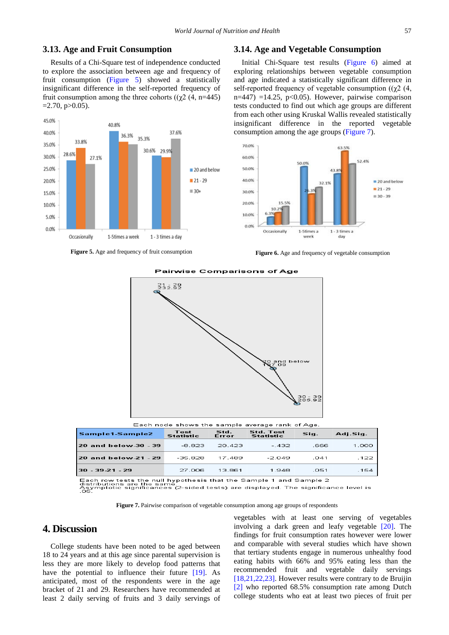#### **3.13. Age and Fruit Consumption**

Results of a Chi-Square test of independence conducted to explore the association between age and frequency of fruit consumption [\(Figure 5\)](#page-4-0) showed a statistically insignificant difference in the self-reported frequency of fruit consumption among the three cohorts ( $(\chi^2(4, n=445))$  $=2.70$ , p $>0.05$ ).

<span id="page-4-0"></span>

<span id="page-4-2"></span>**Figure 5.** Age and frequency of fruit consumption

#### **3.14. Age and Vegetable Consumption**

Initial Chi-Square test results [\(Figure 6\)](#page-4-1) aimed at exploring relationships between vegetable consumption and age indicated a statistically significant difference in self-reported frequency of vegetable consumption ( $(\gamma 2 \; (4,$  $n=447$ ) =14.25, p<0.05). However, pairwise comparison tests conducted to find out which age groups are different from each other using Kruskal Wallis revealed statistically insignificant difference in the reported vegetable consumption among the age groups [\(Figure 7\)](#page-4-2).

<span id="page-4-1"></span>

**Figure 6.** Age and frequency of vegetable consumption



**Pairwise Comparisons of Age** 

Each row tests the null hypothesis that the Sample 1 and Sample 2<br>distributions are the same.<br>Asymptotic significances (2-sided tests) are displayed. The significance level is<br>.05.

13.861

1.948

27.006

**Figure 7.** Pairwise comparison of vegetable consumption among age groups of respondents

## **4. Discussion**

College students have been noted to be aged between 18 to 24 years and at this age since parental supervision is less they are more likely to develop food patterns that have the potential to influence their future [\[19\].](#page-5-10) As anticipated, most of the respondents were in the age bracket of 21 and 29. Researchers have recommended at least 2 daily serving of fruits and 3 daily servings of

 $30 - 39 - 21 - 29$ 

vegetables with at least one serving of vegetables involving a dark green and leafy vegetable [\[20\].](#page-5-11) The findings for fruit consumption rates however were lower and comparable with several studies which have shown that tertiary students engage in numerous unhealthy food eating habits with 66% and 95% eating less than the recommended fruit and vegetable daily servings [\[18,21,22,23\].](#page-5-12) However results were contrary to de Bruijin [\[2\]](#page-5-13) who reported 68.5% consumption rate among Dutch college students who eat at least two pieces of fruit per

.051

 $1.000$ 

 $.122$ 

154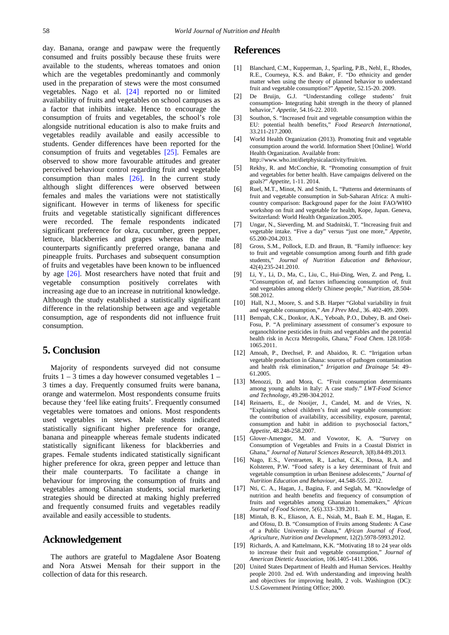day. Banana, orange and pawpaw were the frequently consumed and fruits possibly because these fruits were available to the students, whereas tomatoes and onion which are the vegetables predominantly and commonly used in the preparation of stews were the most consumed vegetables. Nago et al. [\[24\]](#page-6-0) reported no or limited availability of fruits and vegetables on school campuses as a factor that inhibits intake. Hence to encourage the consumption of fruits and vegetables, the school's role alongside nutritional education is also to make fruits and vegetables readily available and easily accessible to students. Gender differences have been reported for the consumption of fruits and vegetables [\[25\].](#page-6-1) Females are observed to show more favourable attitudes and greater perceived behaviour control regarding fruit and vegetable consumption than males  $[26]$ . In the current study although slight differences were observed between females and males the variations were not statistically significant. However in terms of likeness for specific fruits and vegetable statistically significant differences were recorded. The female respondents indicated significant preference for okra, cucumber, green pepper, lettuce, blackberries and grapes whereas the male counterparts significantly preferred orange, banana and pineapple fruits. Purchases and subsequent consumption of fruits and vegetables have been known to be influenced by age [\[26\].](#page-6-2) Most researchers have noted that fruit and vegetable consumption positively correlates with increasing age due to an increase in nutritional knowledge. Although the study established a statistically significant difference in the relationship between age and vegetable consumption, age of respondents did not influence fruit consumption.

## **5. Conclusion**

Majority of respondents surveyed did not consume fruits  $1 - 3$  times a day however consumed vegetables  $1 -$ 3 times a day. Frequently consumed fruits were banana, orange and watermelon. Most respondents consume fruits because they 'feel like eating fruits'. Frequently consumed vegetables were tomatoes and onions. Most respondents used vegetables in stews. Male students indicated statistically significant higher preference for orange, banana and pineapple whereas female students indicated statistically significant likeness for blackberries and grapes. Female students indicated statistically significant higher preference for okra, green pepper and lettuce than their male counterparts. To facilitate a change in behaviour for improving the consumption of fruits and vegetables among Ghanaian students, social marketing strategies should be directed at making highly preferred and frequently consumed fruits and vegetables readily available and easily accessible to students.

# **Acknowledgement**

The authors are grateful to Magdalene Asor Boateng and Nora Atswei Mensah for their support in the collection of data for this research.

#### **References**

- <span id="page-5-0"></span>[1] Blanchard, C.M., Kupperman, J., Sparling, P.B., Nehl, E., Rhodes, R.E., Courneya, K.S. and Baker, F. "Do ethnicity and gender matter when using the theory of planned behavior to understand fruit and vegetable consumption?" *Appetite*, 52.15-20. 2009.
- <span id="page-5-13"></span>[2] De Bruijn, G.J. "Understanding college students' fruit consumption- Integrating habit strength in the theory of planned behavior," *Appetite*, 54.16-22. 2010.
- <span id="page-5-1"></span>[3] Southon, S. "Increased fruit and vegetable consumption within the EU: potential health benefits," *Food Research International*, 33.211-217.2000.
- <span id="page-5-2"></span>[4] World Health Organization (2013). Promoting fruit and vegetable consumption around the world. Information Sheet [Online]. World Health Organization. Available from: http://www.who.int/dietphysicalactivity/fruit/en.
- [5] Rekhy, R. and McConchie, R. "Promoting consumption of fruit and vegetables for better health. Have campaigns delivered on the goals?" *Appetite*, 1-11. 2014.
- <span id="page-5-3"></span>[6] Ruel, M.T., Minot, N. and Smith, L. "Patterns and determinants of fruit and vegetable consumption in Sub-Saharan Africa: A multicountry comparison: Background paper for the Joint FAO/WHO workshop on fruit and vegetable for health, Kope, Japan. Geneva, Switzerland: World Health Organization.2005.
- <span id="page-5-4"></span>[7] Ungar, N., Sieverding, M. and Stadnitski, T. "Increasing fruit and vegetable intake. "Five a day" versus "just one more," *Appetite*, 65.200-204.2013.
- <span id="page-5-5"></span>[8] Gross, S.M., Pollock, E.D. and Braun, B. "Family influence: key to fruit and vegetable consumption among fourth and fifth grade students," *Journal of Nutrition Education and Behaviour*, 42(4).235-241.2010.
- <span id="page-5-6"></span>Li, Y., Li, D., Ma, C., Liu, C., Hui-Ding, Wen, Z. and Peng, L. "Consumption of, and factors influencing consumption of, fruit and vegetables among elderly Chinese people," *Nutrition*, 28.504- 508.2012.
- <span id="page-5-7"></span>[10] Hall, N.J., Moore, S. and S.B. Harper "Global variability in fruit and vegetable consumption," *Am J Prev Med*., 36. 402-409. 2009.
- <span id="page-5-8"></span>[11] Bempah, C.K., Donkor, A.K., Yeboah, P.O., Dubey, B. and Osei-Fosu, P. "A preliminary assessment of consumer's exposure to organochlorine pesticides in fruits and vegetables and the potential health risk in Accra Metropolis, Ghana," *Food Chem*. 128.1058- 1065.2011.
- [12] Amoah, P., Drechsel, P. and Abaidoo, R. C. "Irrigation urban vegetable production in Ghana: sources of pathogen contamination and health risk elimination," *Irrigation and Drainage* 54: 49– 61.2005.
- <span id="page-5-9"></span>[13] Menozzi, D. and Mora, C. "Fruit consumption determinants among young adults in Italy: A case study." *LWT-Food Science and Technology*, 49.298-304.2012.
- [14] Reinaerts, E., de Nooijer, J., Candel, M. and de Vries, N. "Explaining school children's fruit and vegetable consumption: the contribution of availability, accessibility, exposure, parental, consumption and habit in addition to psychosocial factors,' *Appetite*, 48.248-258.2007.
- [15] Glover-Amengor, M. and Vowotor, K. A. "Survey on Consumption of Vegetables and Fruits in a Coastal District in Ghana," *Journal of Natural Sciences Research*, 3(8).84-89.2013.
- [16] Nago, E.S., Verstraeten, R., Lachat, C.K., Dossa, R.A. and Kolsteren, P.W. "Food safety is a key determinant of fruit and vegetable consumption in urban Beninese adolescents," *Journal of Nutrition Education and Behaviour,* 44.548-555. 2012.
- [17] Nti, C. A., Hagan, J., Bagina, F. and Seglah, M. "Knowledge of nutrition and health benefits and frequency of consumption of fruits and vegetables among Ghanaian homemakers," *African Journal of Food Science*, 5(6).333–339.2011.
- <span id="page-5-12"></span>[18] Mintah, B. K., Eliason, A. E., Nsiah, M., Baah E. M., Hagan, E. and Ofosu, D. B. "Consumption of Fruits among Students: A Case of a Public University in Ghana," *African Journal of Food, Agriculture, Nutrition and Development*, 12(2).5978-5993.2012.
- <span id="page-5-10"></span>[19] Richards, A. and Kattelmann, K.K. "Motivating 18 to 24 year olds to increase their fruit and vegetable consumption," *Journal of American Dietetic Association*, 106.1405-1411.2006.
- <span id="page-5-11"></span>[20] United States Department of Health and Human Services. Healthy people 2010. 2nd ed. With understanding and improving health and objectives for improving health, 2 vols. Washington (DC): U.S.Government Printing Office; 2000.